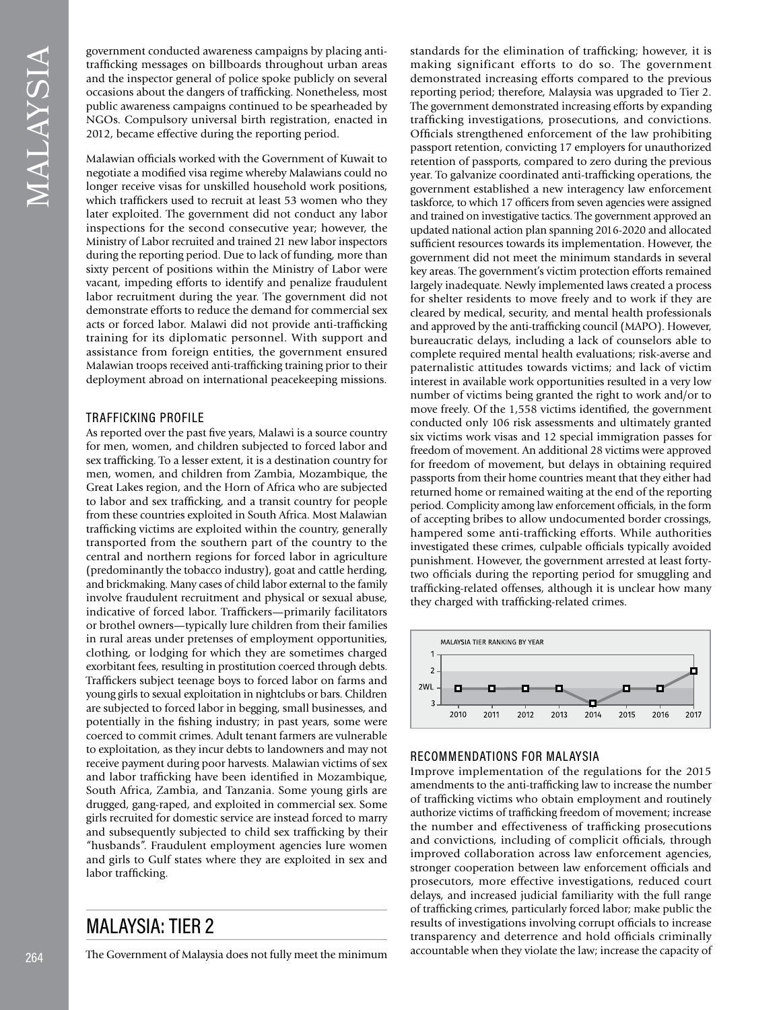government conducted awareness campaigns by placing antitraffcking messages on billboards throughout urban areas and the inspector general of police spoke publicly on several occasions about the dangers of traffcking. Nonetheless, most public awareness campaigns continued to be spearheaded by NGOs. Compulsory universal birth registration, enacted in 2012, became effective during the reporting period.

Malawian offcials worked with the Government of Kuwait to negotiate a modifed visa regime whereby Malawians could no longer receive visas for unskilled household work positions, which traffckers used to recruit at least 53 women who they later exploited. The government did not conduct any labor inspections for the second consecutive year; however, the Ministry of Labor recruited and trained 21 new labor inspectors during the reporting period. Due to lack of funding, more than sixty percent of positions within the Ministry of Labor were vacant, impeding efforts to identify and penalize fraudulent labor recruitment during the year. The government did not demonstrate efforts to reduce the demand for commercial sex acts or forced labor. Malawi did not provide anti-traffcking training for its diplomatic personnel. With support and assistance from foreign entities, the government ensured Malawian troops received anti-traffcking training prior to their deployment abroad on international peacekeeping missions.

## TRAFFICKING PROFILE

As reported over the past fve years, Malawi is a source country for men, women, and children subjected to forced labor and sex traffcking. To a lesser extent, it is a destination country for men, women, and children from Zambia, Mozambique, the Great Lakes region, and the Horn of Africa who are subjected to labor and sex traffcking, and a transit country for people from these countries exploited in South Africa. Most Malawian traffcking victims are exploited within the country, generally transported from the southern part of the country to the central and northern regions for forced labor in agriculture (predominantly the tobacco industry), goat and cattle herding, and brickmaking. Many cases of child labor external to the family involve fraudulent recruitment and physical or sexual abuse, indicative of forced labor. Traffckers—primarily facilitators or brothel owners—typically lure children from their families in rural areas under pretenses of employment opportunities, clothing, or lodging for which they are sometimes charged exorbitant fees, resulting in prostitution coerced through debts. Traffckers subject teenage boys to forced labor on farms and young girls to sexual exploitation in nightclubs or bars. Children are subjected to forced labor in begging, small businesses, and potentially in the fshing industry; in past years, some were coerced to commit crimes. Adult tenant farmers are vulnerable to exploitation, as they incur debts to landowners and may not receive payment during poor harvests. Malawian victims of sex and labor traffcking have been identifed in Mozambique, South Africa, Zambia, and Tanzania. Some young girls are drugged, gang-raped, and exploited in commercial sex. Some girls recruited for domestic service are instead forced to marry and subsequently subjected to child sex traffcking by their "husbands". Fraudulent employment agencies lure women and girls to Gulf states where they are exploited in sex and labor trafficking.

MALAYSIA: TIER 2

The Government of Malaysia does not fully meet the minimum

standards for the elimination of traffcking; however, it is making significant efforts to do so. The government demonstrated increasing efforts compared to the previous reporting period; therefore, Malaysia was upgraded to Tier 2. The government demonstrated increasing efforts by expanding traffcking investigations, prosecutions, and convictions. Offcials strengthened enforcement of the law prohibiting passport retention, convicting 17 employers for unauthorized retention of passports, compared to zero during the previous year. To galvanize coordinated anti-traffcking operations, the government established a new interagency law enforcement taskforce, to which 17 officers from seven agencies were assigned and trained on investigative tactics. The government approved an updated national action plan spanning 2016-2020 and allocated sufficient resources towards its implementation. However, the government did not meet the minimum standards in several key areas. The government's victim protection efforts remained largely inadequate. Newly implemented laws created a process for shelter residents to move freely and to work if they are cleared by medical, security, and mental health professionals and approved by the anti-traffcking council (MAPO). However, bureaucratic delays, including a lack of counselors able to complete required mental health evaluations; risk-averse and paternalistic attitudes towards victims; and lack of victim interest in available work opportunities resulted in a very low number of victims being granted the right to work and/or to move freely. Of the 1,558 victims identifed, the government conducted only 106 risk assessments and ultimately granted six victims work visas and 12 special immigration passes for freedom of movement. An additional 28 victims were approved for freedom of movement, but delays in obtaining required passports from their home countries meant that they either had returned home or remained waiting at the end of the reporting period. Complicity among law enforcement officials, in the form of accepting bribes to allow undocumented border crossings, hampered some anti-traffcking efforts. While authorities investigated these crimes, culpable officials typically avoided punishment. However, the government arrested at least fortytwo officials during the reporting period for smuggling and traffcking-related offenses, although it is unclear how many they charged with traffcking-related crimes.



#### RECOMMENDATIONS FOR MALAYSIA

Improve implementation of the regulations for the 2015 amendments to the anti-traffcking law to increase the number of traffcking victims who obtain employment and routinely authorize victims of traffcking freedom of movement; increase the number and effectiveness of traffcking prosecutions and convictions, including of complicit officials, through improved collaboration across law enforcement agencies, stronger cooperation between law enforcement officials and prosecutors, more effective investigations, reduced court delays, and increased judicial familiarity with the full range of traffcking crimes, particularly forced labor; make public the results of investigations involving corrupt offcials to increase transparency and deterrence and hold offcials criminally accountable when they violate the law; increase the capacity of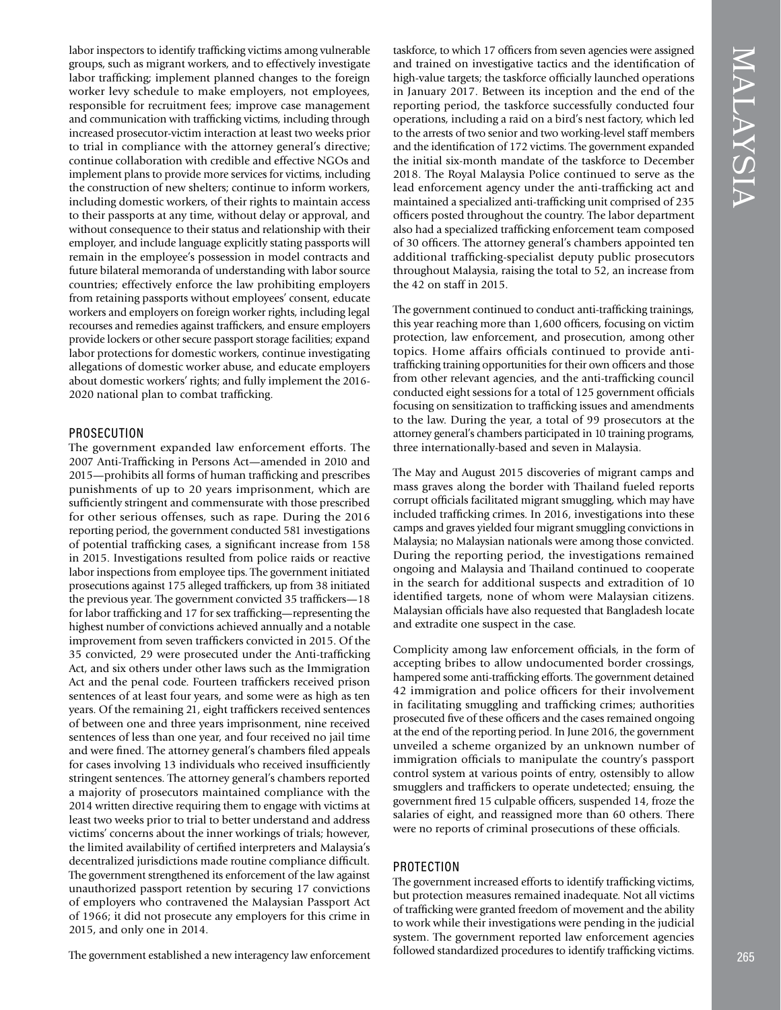labor inspectors to identify traffcking victims among vulnerable groups, such as migrant workers, and to effectively investigate labor trafficking; implement planned changes to the foreign worker levy schedule to make employers, not employees, responsible for recruitment fees; improve case management and communication with traffcking victims, including through increased prosecutor-victim interaction at least two weeks prior to trial in compliance with the attorney general's directive; continue collaboration with credible and effective NGOs and implement plans to provide more services for victims, including the construction of new shelters; continue to inform workers, including domestic workers, of their rights to maintain access to their passports at any time, without delay or approval, and without consequence to their status and relationship with their employer, and include language explicitly stating passports will remain in the employee's possession in model contracts and future bilateral memoranda of understanding with labor source countries; effectively enforce the law prohibiting employers from retaining passports without employees' consent, educate workers and employers on foreign worker rights, including legal recourses and remedies against traffckers, and ensure employers provide lockers or other secure passport storage facilities; expand labor protections for domestic workers, continue investigating allegations of domestic worker abuse, and educate employers about domestic workers' rights; and fully implement the 2016- 2020 national plan to combat trafficking.

#### PROSECUTION

The government expanded law enforcement efforts. The 2007 Anti-Traffcking in Persons Act—amended in 2010 and 2015—prohibits all forms of human traffcking and prescribes punishments of up to 20 years imprisonment, which are sufficiently stringent and commensurate with those prescribed for other serious offenses, such as rape. During the 2016 reporting period, the government conducted 581 investigations of potential traffcking cases, a signifcant increase from 158 in 2015. Investigations resulted from police raids or reactive labor inspections from employee tips. The government initiated prosecutions against 175 alleged traffckers, up from 38 initiated the previous year. The government convicted 35 traffckers—18 for labor traffcking and 17 for sex traffcking—representing the highest number of convictions achieved annually and a notable improvement from seven traffckers convicted in 2015. Of the 35 convicted, 29 were prosecuted under the Anti-traffcking Act, and six others under other laws such as the Immigration Act and the penal code. Fourteen traffickers received prison sentences of at least four years, and some were as high as ten years. Of the remaining 21, eight traffickers received sentences of between one and three years imprisonment, nine received sentences of less than one year, and four received no jail time and were fned. The attorney general's chambers fled appeals for cases involving 13 individuals who received insuffciently stringent sentences. The attorney general's chambers reported a majority of prosecutors maintained compliance with the 2014 written directive requiring them to engage with victims at least two weeks prior to trial to better understand and address victims' concerns about the inner workings of trials; however, the limited availability of certifed interpreters and Malaysia's decentralized jurisdictions made routine compliance diffcult. The government strengthened its enforcement of the law against unauthorized passport retention by securing 17 convictions of employers who contravened the Malaysian Passport Act of 1966; it did not prosecute any employers for this crime in 2015, and only one in 2014.

The government established a new interagency law enforcement

taskforce, to which 17 officers from seven agencies were assigned and trained on investigative tactics and the identifcation of high-value targets; the taskforce officially launched operations in January 2017. Between its inception and the end of the reporting period, the taskforce successfully conducted four operations, including a raid on a bird's nest factory, which led to the arrests of two senior and two working-level staff members and the identifcation of 172 victims. The government expanded the initial six-month mandate of the taskforce to December 2018. The Royal Malaysia Police continued to serve as the lead enforcement agency under the anti-traffcking act and maintained a specialized anti-traffcking unit comprised of 235 offcers posted throughout the country. The labor department also had a specialized traffcking enforcement team composed of 30 offcers. The attorney general's chambers appointed ten additional traffcking-specialist deputy public prosecutors throughout Malaysia, raising the total to 52, an increase from the 42 on staff in 2015.

The government continued to conduct anti-traffcking trainings, this year reaching more than 1,600 officers, focusing on victim protection, law enforcement, and prosecution, among other topics. Home affairs officials continued to provide antitraffcking training opportunities for their own offcers and those from other relevant agencies, and the anti-traffcking council conducted eight sessions for a total of 125 government officials focusing on sensitization to traffcking issues and amendments to the law. During the year, a total of 99 prosecutors at the attorney general's chambers participated in 10 training programs, three internationally-based and seven in Malaysia.

The May and August 2015 discoveries of migrant camps and mass graves along the border with Thailand fueled reports corrupt offcials facilitated migrant smuggling, which may have included traffcking crimes. In 2016, investigations into these camps and graves yielded four migrant smuggling convictions in Malaysia; no Malaysian nationals were among those convicted. During the reporting period, the investigations remained ongoing and Malaysia and Thailand continued to cooperate in the search for additional suspects and extradition of 10 identifed targets, none of whom were Malaysian citizens. Malaysian offcials have also requested that Bangladesh locate and extradite one suspect in the case.

Complicity among law enforcement officials, in the form of accepting bribes to allow undocumented border crossings, hampered some anti-traffcking efforts. The government detained 42 immigration and police offcers for their involvement in facilitating smuggling and traffcking crimes; authorities prosecuted fve of these offcers and the cases remained ongoing at the end of the reporting period. In June 2016, the government unveiled a scheme organized by an unknown number of immigration offcials to manipulate the country's passport control system at various points of entry, ostensibly to allow smugglers and traffckers to operate undetected; ensuing, the government fired 15 culpable officers, suspended 14, froze the salaries of eight, and reassigned more than 60 others. There were no reports of criminal prosecutions of these officials.

#### PROTECTION

The government increased efforts to identify trafficking victims, but protection measures remained inadequate. Not all victims of traffcking were granted freedom of movement and the ability to work while their investigations were pending in the judicial system. The government reported law enforcement agencies followed standardized procedures to identify traffcking victims.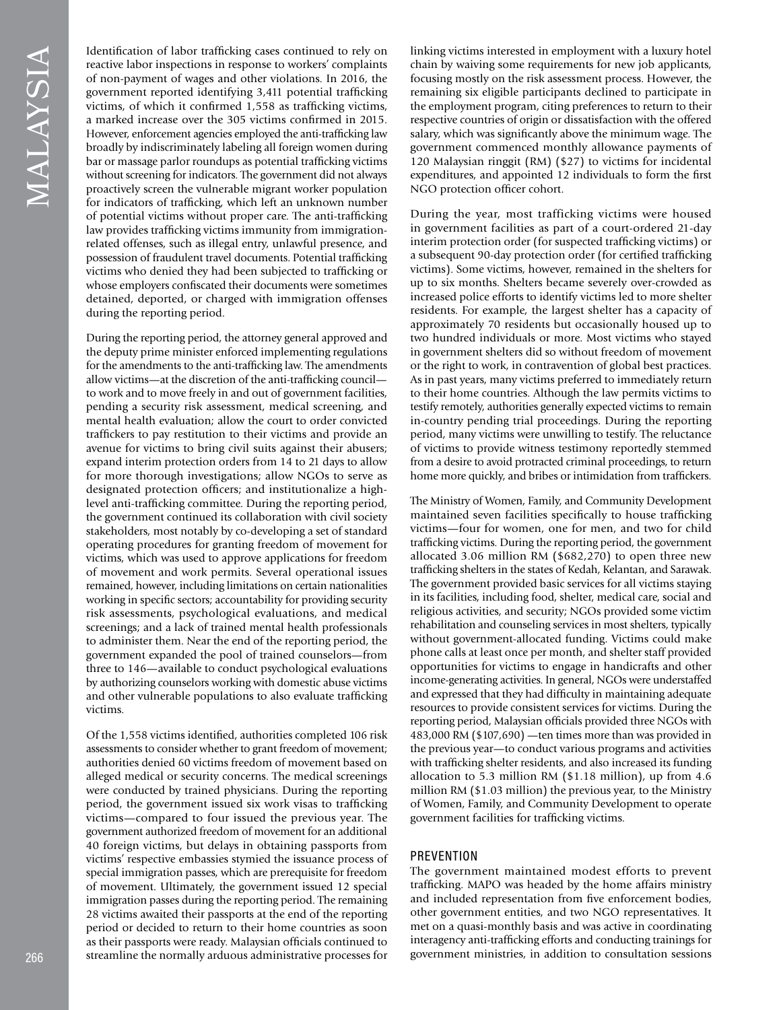Identification of labor trafficking cases continued to rely on reactive labor inspections in response to workers' complaints of non-payment of wages and other violations. In 2016, the government reported identifying 3,411 potential traffcking victims, of which it confrmed 1,558 as traffcking victims, a marked increase over the 305 victims confrmed in 2015. However, enforcement agencies employed the anti-trafficking law broadly by indiscriminately labeling all foreign women during bar or massage parlor roundups as potential traffcking victims without screening for indicators. The government did not always proactively screen the vulnerable migrant worker population for indicators of traffcking, which left an unknown number of potential victims without proper care. The anti-traffcking law provides trafficking victims immunity from immigrationrelated offenses, such as illegal entry, unlawful presence, and possession of fraudulent travel documents. Potential traffcking victims who denied they had been subjected to traffcking or whose employers confscated their documents were sometimes detained, deported, or charged with immigration offenses during the reporting period.

During the reporting period, the attorney general approved and the deputy prime minister enforced implementing regulations for the amendments to the anti-traffcking law. The amendments allow victims—at the discretion of the anti-traffcking council to work and to move freely in and out of government facilities, pending a security risk assessment, medical screening, and mental health evaluation; allow the court to order convicted traffckers to pay restitution to their victims and provide an avenue for victims to bring civil suits against their abusers; expand interim protection orders from 14 to 21 days to allow for more thorough investigations; allow NGOs to serve as designated protection officers; and institutionalize a highlevel anti-traffcking committee. During the reporting period, the government continued its collaboration with civil society stakeholders, most notably by co-developing a set of standard operating procedures for granting freedom of movement for victims, which was used to approve applications for freedom of movement and work permits. Several operational issues remained, however, including limitations on certain nationalities working in specifc sectors; accountability for providing security risk assessments, psychological evaluations, and medical screenings; and a lack of trained mental health professionals to administer them. Near the end of the reporting period, the government expanded the pool of trained counselors—from three to 146—available to conduct psychological evaluations by authorizing counselors working with domestic abuse victims and other vulnerable populations to also evaluate trafficking victims.

Of the 1,558 victims identifed, authorities completed 106 risk assessments to consider whether to grant freedom of movement; authorities denied 60 victims freedom of movement based on alleged medical or security concerns. The medical screenings were conducted by trained physicians. During the reporting period, the government issued six work visas to traffcking victims—compared to four issued the previous year. The government authorized freedom of movement for an additional 40 foreign victims, but delays in obtaining passports from victims' respective embassies stymied the issuance process of special immigration passes, which are prerequisite for freedom of movement. Ultimately, the government issued 12 special immigration passes during the reporting period. The remaining 28 victims awaited their passports at the end of the reporting period or decided to return to their home countries as soon as their passports were ready. Malaysian offcials continued to streamline the normally arduous administrative processes for

linking victims interested in employment with a luxury hotel chain by waiving some requirements for new job applicants, focusing mostly on the risk assessment process. However, the remaining six eligible participants declined to participate in the employment program, citing preferences to return to their respective countries of origin or dissatisfaction with the offered salary, which was signifcantly above the minimum wage. The government commenced monthly allowance payments of 120 Malaysian ringgit (RM) (\$27) to victims for incidental expenditures, and appointed 12 individuals to form the frst NGO protection officer cohort.

During the year, most trafficking victims were housed in government facilities as part of a court-ordered 21-day interim protection order (for suspected traffcking victims) or a subsequent 90-day protection order (for certified trafficking victims). Some victims, however, remained in the shelters for up to six months. Shelters became severely over-crowded as increased police efforts to identify victims led to more shelter residents. For example, the largest shelter has a capacity of approximately 70 residents but occasionally housed up to two hundred individuals or more. Most victims who stayed in government shelters did so without freedom of movement or the right to work, in contravention of global best practices. As in past years, many victims preferred to immediately return to their home countries. Although the law permits victims to testify remotely, authorities generally expected victims to remain in-country pending trial proceedings. During the reporting period, many victims were unwilling to testify. The reluctance of victims to provide witness testimony reportedly stemmed from a desire to avoid protracted criminal proceedings, to return home more quickly, and bribes or intimidation from traffickers.

The Ministry of Women, Family, and Community Development maintained seven facilities specifcally to house traffcking victims—four for women, one for men, and two for child traffcking victims. During the reporting period, the government allocated 3.06 million RM (\$682,270) to open three new traffcking shelters in the states of Kedah, Kelantan, and Sarawak. The government provided basic services for all victims staying in its facilities, including food, shelter, medical care, social and religious activities, and security; NGOs provided some victim rehabilitation and counseling services in most shelters, typically without government-allocated funding. Victims could make phone calls at least once per month, and shelter staff provided opportunities for victims to engage in handicrafts and other income-generating activities. In general, NGOs were understaffed and expressed that they had diffculty in maintaining adequate resources to provide consistent services for victims. During the reporting period, Malaysian officials provided three NGOs with 483,000 RM (\$107,690) —ten times more than was provided in the previous year—to conduct various programs and activities with traffcking shelter residents, and also increased its funding allocation to 5.3 million RM (\$1.18 million), up from 4.6 million RM (\$1.03 million) the previous year, to the Ministry of Women, Family, and Community Development to operate government facilities for traffcking victims.

# **PREVENTION**

The government maintained modest efforts to prevent traffcking. MAPO was headed by the home affairs ministry and included representation from fve enforcement bodies, other government entities, and two NGO representatives. It met on a quasi-monthly basis and was active in coordinating interagency anti-traffcking efforts and conducting trainings for government ministries, in addition to consultation sessions